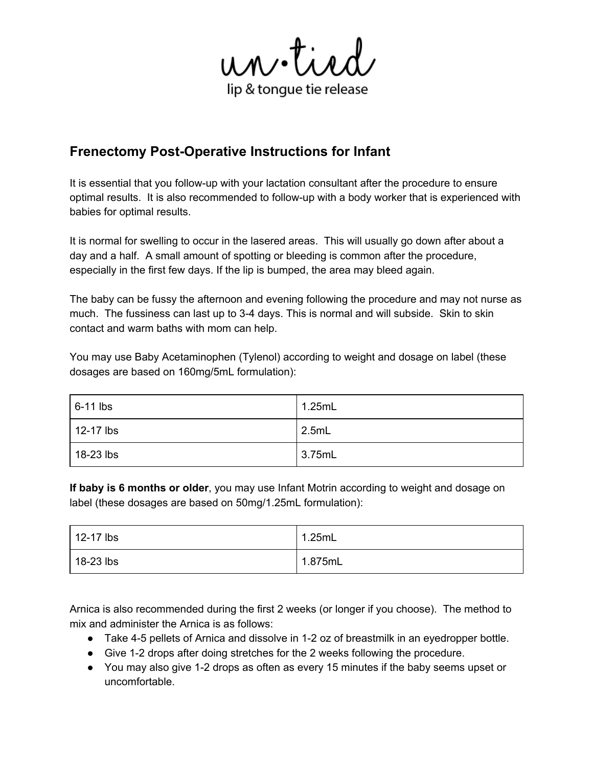un.tied lip & tongue tie release

# **Frenectomy Post-Operative Instructions for Infant**

It is essential that you follow-up with your lactation consultant after the procedure to ensure optimal results. It is also recommended to follow-up with a body worker that is experienced with babies for optimal results.

It is normal for swelling to occur in the lasered areas. This will usually go down after about a day and a half. A small amount of spotting or bleeding is common after the procedure, especially in the first few days. If the lip is bumped, the area may bleed again.

The baby can be fussy the afternoon and evening following the procedure and may not nurse as much. The fussiness can last up to 3-4 days. This is normal and will subside. Skin to skin contact and warm baths with mom can help.

You may use Baby Acetaminophen (Tylenol) according to weight and dosage on label (these dosages are based on 160mg/5mL formulation):

| $6-11$ lbs        | 1.25mL  |
|-------------------|---------|
| $\vert$ 12-17 lbs | 2.5mL   |
| 18-23 lbs         | 13.75mL |

**If baby is 6 months or older**, you may use Infant Motrin according to weight and dosage on label (these dosages are based on 50mg/1.25mL formulation):

| $\vert$ 12-17 lbs | 1.25mL  |
|-------------------|---------|
| 18-23 lbs         | 1.875mL |

Arnica is also recommended during the first 2 weeks (or longer if you choose). The method to mix and administer the Arnica is as follows:

- Take 4-5 pellets of Arnica and dissolve in 1-2 oz of breastmilk in an eyedropper bottle.
- Give 1-2 drops after doing stretches for the 2 weeks following the procedure.
- You may also give 1-2 drops as often as every 15 minutes if the baby seems upset or uncomfortable.